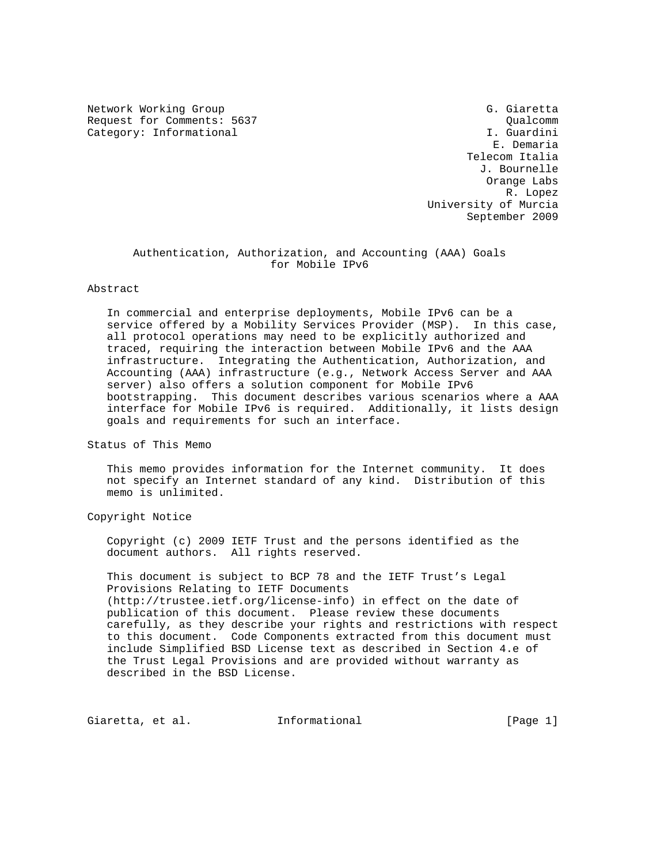Network Working Group G. Giaretta Request for Comments: 5637 Qualcomm (Qualcomm )<br>Category: Informational (Category: Informational ) and (Category: Informational ) and (Category: Informational Category: Informational

 E. Demaria Telecom Italia J. Bournelle Orange Labs R. Lopez University of Murcia September 2009

 Authentication, Authorization, and Accounting (AAA) Goals for Mobile IPv6

## Abstract

 In commercial and enterprise deployments, Mobile IPv6 can be a service offered by a Mobility Services Provider (MSP). In this case, all protocol operations may need to be explicitly authorized and traced, requiring the interaction between Mobile IPv6 and the AAA infrastructure. Integrating the Authentication, Authorization, and Accounting (AAA) infrastructure (e.g., Network Access Server and AAA server) also offers a solution component for Mobile IPv6 bootstrapping. This document describes various scenarios where a AAA interface for Mobile IPv6 is required. Additionally, it lists design goals and requirements for such an interface.

Status of This Memo

 This memo provides information for the Internet community. It does not specify an Internet standard of any kind. Distribution of this memo is unlimited.

Copyright Notice

 Copyright (c) 2009 IETF Trust and the persons identified as the document authors. All rights reserved.

 This document is subject to BCP 78 and the IETF Trust's Legal Provisions Relating to IETF Documents (http://trustee.ietf.org/license-info) in effect on the date of publication of this document. Please review these documents carefully, as they describe your rights and restrictions with respect to this document. Code Components extracted from this document must include Simplified BSD License text as described in Section 4.e of the Trust Legal Provisions and are provided without warranty as described in the BSD License.

Giaretta, et al. 1nformational (Page 1)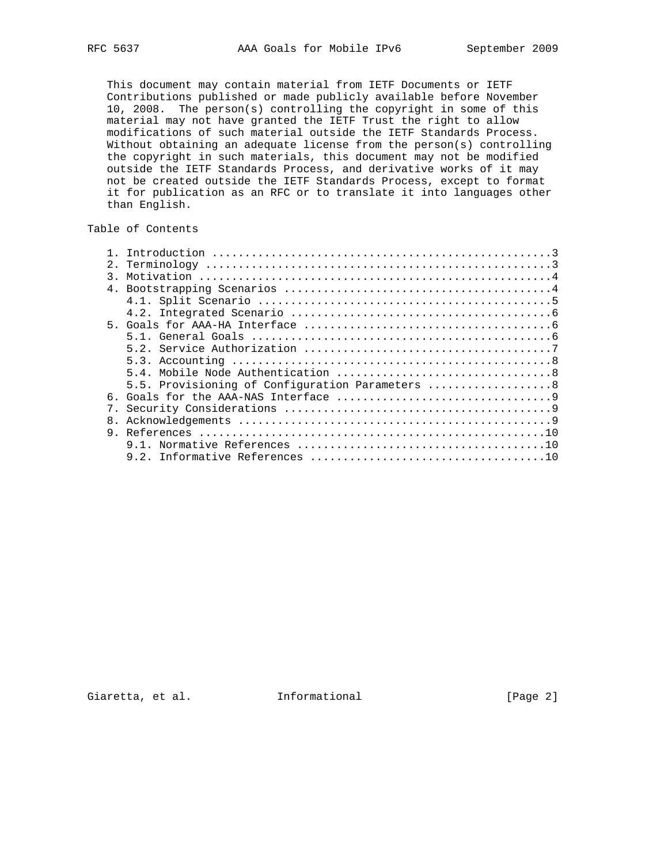This document may contain material from IETF Documents or IETF Contributions published or made publicly available before November 10, 2008. The person(s) controlling the copyright in some of this material may not have granted the IETF Trust the right to allow modifications of such material outside the IETF Standards Process. Without obtaining an adequate license from the person(s) controlling the copyright in such materials, this document may not be modified outside the IETF Standards Process, and derivative works of it may not be created outside the IETF Standards Process, except to format it for publication as an RFC or to translate it into languages other than English.

# Table of Contents

| 5.5. Provisioning of Configuration Parameters 8 |
|-------------------------------------------------|
|                                                 |
|                                                 |
|                                                 |
|                                                 |
|                                                 |
|                                                 |
|                                                 |
| $\mathcal{R}$<br>8.                             |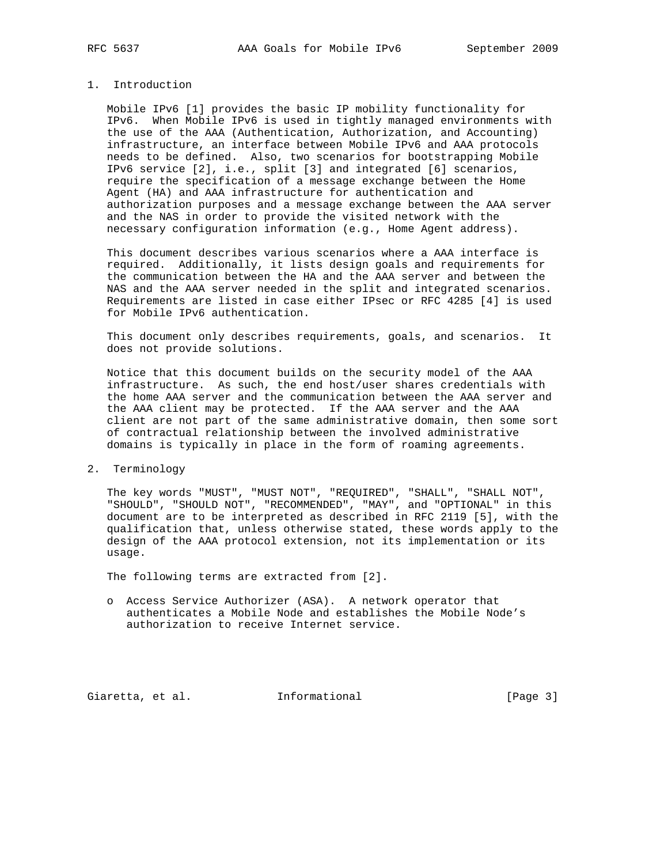# 1. Introduction

 Mobile IPv6 [1] provides the basic IP mobility functionality for IPv6. When Mobile IPv6 is used in tightly managed environments with the use of the AAA (Authentication, Authorization, and Accounting) infrastructure, an interface between Mobile IPv6 and AAA protocols needs to be defined. Also, two scenarios for bootstrapping Mobile IPv6 service [2], i.e., split [3] and integrated [6] scenarios, require the specification of a message exchange between the Home Agent (HA) and AAA infrastructure for authentication and authorization purposes and a message exchange between the AAA server and the NAS in order to provide the visited network with the necessary configuration information (e.g., Home Agent address).

 This document describes various scenarios where a AAA interface is required. Additionally, it lists design goals and requirements for the communication between the HA and the AAA server and between the NAS and the AAA server needed in the split and integrated scenarios. Requirements are listed in case either IPsec or RFC 4285 [4] is used for Mobile IPv6 authentication.

 This document only describes requirements, goals, and scenarios. It does not provide solutions.

 Notice that this document builds on the security model of the AAA infrastructure. As such, the end host/user shares credentials with the home AAA server and the communication between the AAA server and the AAA client may be protected. If the AAA server and the AAA client are not part of the same administrative domain, then some sort of contractual relationship between the involved administrative domains is typically in place in the form of roaming agreements.

## 2. Terminology

 The key words "MUST", "MUST NOT", "REQUIRED", "SHALL", "SHALL NOT", "SHOULD", "SHOULD NOT", "RECOMMENDED", "MAY", and "OPTIONAL" in this document are to be interpreted as described in RFC 2119 [5], with the qualification that, unless otherwise stated, these words apply to the design of the AAA protocol extension, not its implementation or its usage.

The following terms are extracted from [2].

 o Access Service Authorizer (ASA). A network operator that authenticates a Mobile Node and establishes the Mobile Node's authorization to receive Internet service.

Giaretta, et al. 1nformational [Page 3]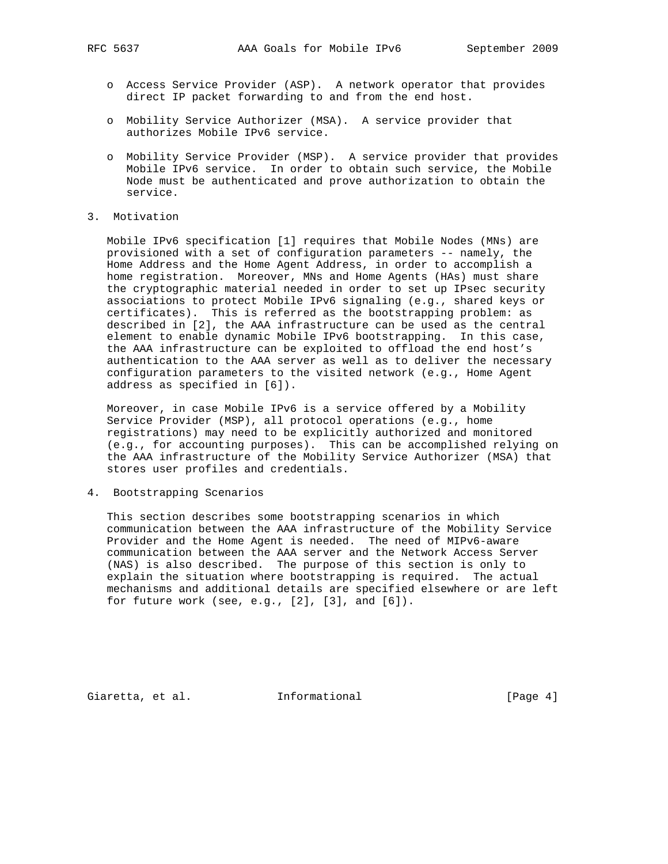- o Access Service Provider (ASP). A network operator that provides direct IP packet forwarding to and from the end host.
- o Mobility Service Authorizer (MSA). A service provider that authorizes Mobile IPv6 service.
- o Mobility Service Provider (MSP). A service provider that provides Mobile IPv6 service. In order to obtain such service, the Mobile Node must be authenticated and prove authorization to obtain the service.
- 3. Motivation

 Mobile IPv6 specification [1] requires that Mobile Nodes (MNs) are provisioned with a set of configuration parameters -- namely, the Home Address and the Home Agent Address, in order to accomplish a home registration. Moreover, MNs and Home Agents (HAs) must share the cryptographic material needed in order to set up IPsec security associations to protect Mobile IPv6 signaling (e.g., shared keys or certificates). This is referred as the bootstrapping problem: as described in [2], the AAA infrastructure can be used as the central element to enable dynamic Mobile IPv6 bootstrapping. In this case, the AAA infrastructure can be exploited to offload the end host's authentication to the AAA server as well as to deliver the necessary configuration parameters to the visited network (e.g., Home Agent address as specified in [6]).

 Moreover, in case Mobile IPv6 is a service offered by a Mobility Service Provider (MSP), all protocol operations (e.g., home registrations) may need to be explicitly authorized and monitored (e.g., for accounting purposes). This can be accomplished relying on the AAA infrastructure of the Mobility Service Authorizer (MSA) that stores user profiles and credentials.

4. Bootstrapping Scenarios

 This section describes some bootstrapping scenarios in which communication between the AAA infrastructure of the Mobility Service Provider and the Home Agent is needed. The need of MIPv6-aware communication between the AAA server and the Network Access Server (NAS) is also described. The purpose of this section is only to explain the situation where bootstrapping is required. The actual mechanisms and additional details are specified elsewhere or are left for future work (see, e.g.,  $[2]$ ,  $[3]$ , and  $[6]$ ).

Giaretta, et al. 1nformational 1999 [Page 4]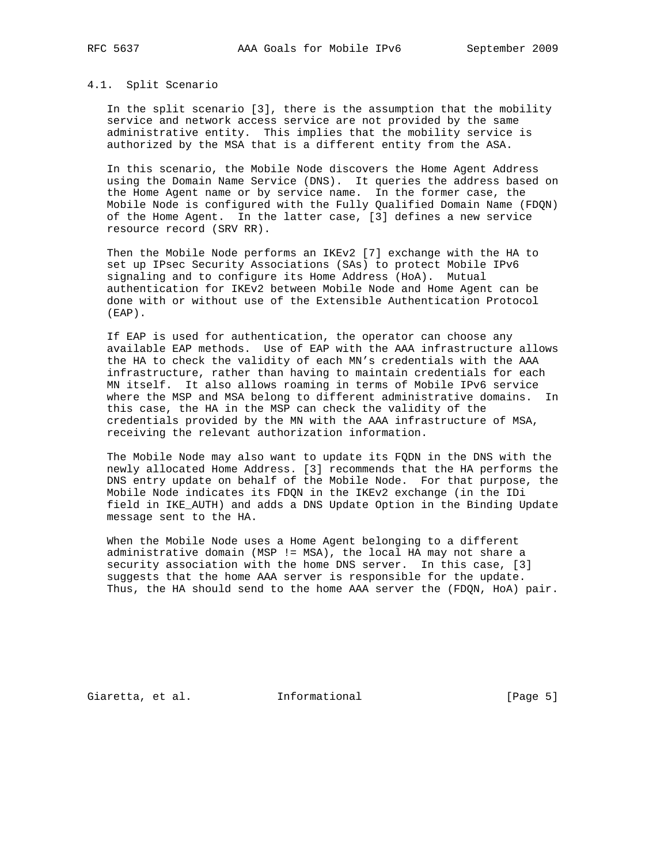#### 4.1. Split Scenario

 In the split scenario [3], there is the assumption that the mobility service and network access service are not provided by the same administrative entity. This implies that the mobility service is authorized by the MSA that is a different entity from the ASA.

 In this scenario, the Mobile Node discovers the Home Agent Address using the Domain Name Service (DNS). It queries the address based on the Home Agent name or by service name. In the former case, the Mobile Node is configured with the Fully Qualified Domain Name (FDQN) of the Home Agent. In the latter case, [3] defines a new service resource record (SRV RR).

 Then the Mobile Node performs an IKEv2 [7] exchange with the HA to set up IPsec Security Associations (SAs) to protect Mobile IPv6 signaling and to configure its Home Address (HoA). Mutual authentication for IKEv2 between Mobile Node and Home Agent can be done with or without use of the Extensible Authentication Protocol (EAP).

 If EAP is used for authentication, the operator can choose any available EAP methods. Use of EAP with the AAA infrastructure allows the HA to check the validity of each MN's credentials with the AAA infrastructure, rather than having to maintain credentials for each MN itself. It also allows roaming in terms of Mobile IPv6 service where the MSP and MSA belong to different administrative domains. In this case, the HA in the MSP can check the validity of the credentials provided by the MN with the AAA infrastructure of MSA, receiving the relevant authorization information.

 The Mobile Node may also want to update its FQDN in the DNS with the newly allocated Home Address. [3] recommends that the HA performs the DNS entry update on behalf of the Mobile Node. For that purpose, the Mobile Node indicates its FDQN in the IKEv2 exchange (in the IDi field in IKE\_AUTH) and adds a DNS Update Option in the Binding Update message sent to the HA.

 When the Mobile Node uses a Home Agent belonging to a different administrative domain (MSP != MSA), the local HA may not share a security association with the home DNS server. In this case, [3] suggests that the home AAA server is responsible for the update. Thus, the HA should send to the home AAA server the (FDQN, HoA) pair.

Giaretta, et al. 1nformational (Page 5)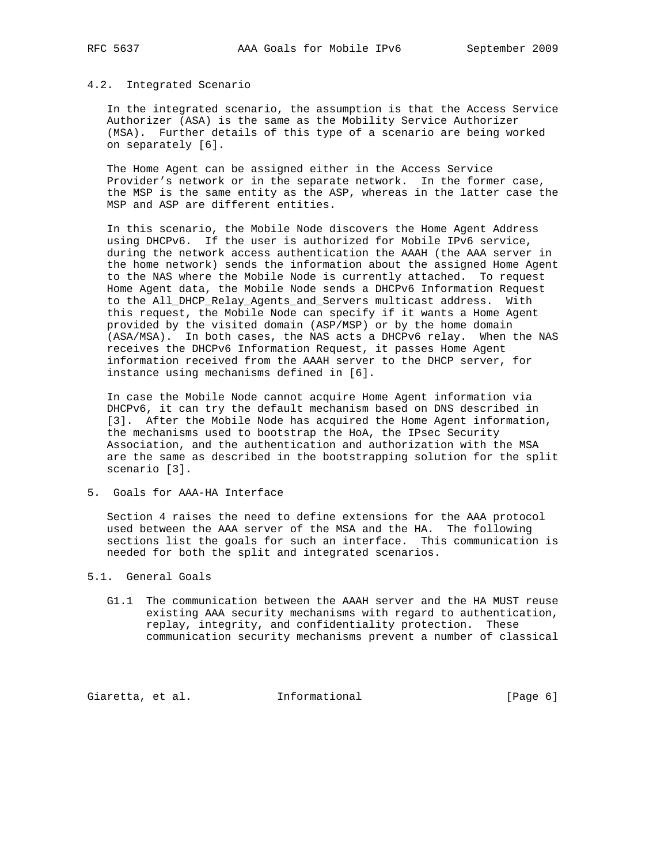### 4.2. Integrated Scenario

 In the integrated scenario, the assumption is that the Access Service Authorizer (ASA) is the same as the Mobility Service Authorizer (MSA). Further details of this type of a scenario are being worked on separately [6].

 The Home Agent can be assigned either in the Access Service Provider's network or in the separate network. In the former case, the MSP is the same entity as the ASP, whereas in the latter case the MSP and ASP are different entities.

 In this scenario, the Mobile Node discovers the Home Agent Address using DHCPv6. If the user is authorized for Mobile IPv6 service, during the network access authentication the AAAH (the AAA server in the home network) sends the information about the assigned Home Agent to the NAS where the Mobile Node is currently attached. To request Home Agent data, the Mobile Node sends a DHCPv6 Information Request to the All\_DHCP\_Relay\_Agents\_and\_Servers multicast address. With this request, the Mobile Node can specify if it wants a Home Agent provided by the visited domain (ASP/MSP) or by the home domain (ASA/MSA). In both cases, the NAS acts a DHCPv6 relay. When the NAS receives the DHCPv6 Information Request, it passes Home Agent information received from the AAAH server to the DHCP server, for instance using mechanisms defined in [6].

 In case the Mobile Node cannot acquire Home Agent information via DHCPv6, it can try the default mechanism based on DNS described in [3]. After the Mobile Node has acquired the Home Agent information, the mechanisms used to bootstrap the HoA, the IPsec Security Association, and the authentication and authorization with the MSA are the same as described in the bootstrapping solution for the split scenario [3].

5. Goals for AAA-HA Interface

 Section 4 raises the need to define extensions for the AAA protocol used between the AAA server of the MSA and the HA. The following sections list the goals for such an interface. This communication is needed for both the split and integrated scenarios.

## 5.1. General Goals

 G1.1 The communication between the AAAH server and the HA MUST reuse existing AAA security mechanisms with regard to authentication, replay, integrity, and confidentiality protection. These communication security mechanisms prevent a number of classical

Giaretta, et al. 1nformational (Page 6)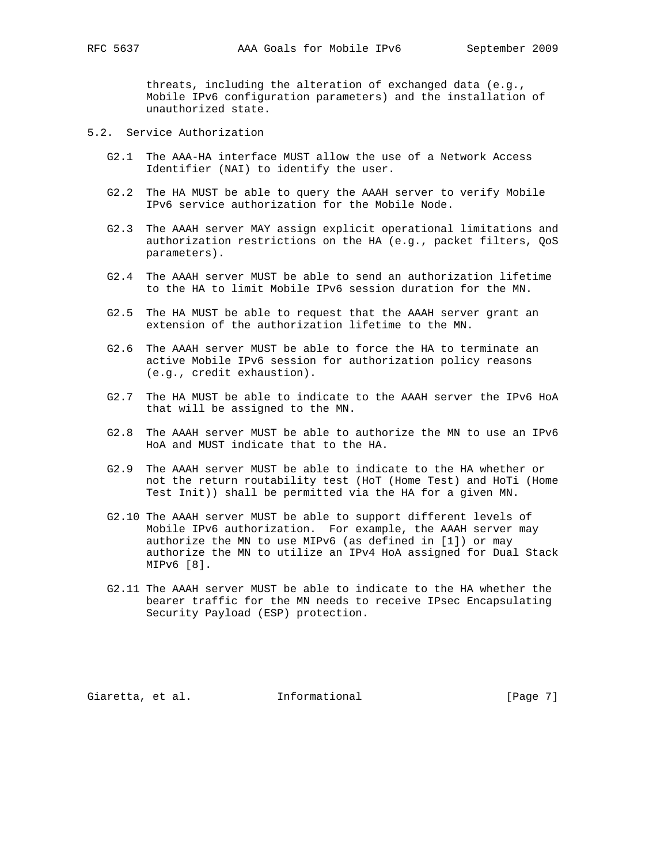threats, including the alteration of exchanged data (e.g., Mobile IPv6 configuration parameters) and the installation of unauthorized state.

- 5.2. Service Authorization
	- G2.1 The AAA-HA interface MUST allow the use of a Network Access Identifier (NAI) to identify the user.
	- G2.2 The HA MUST be able to query the AAAH server to verify Mobile IPv6 service authorization for the Mobile Node.
	- G2.3 The AAAH server MAY assign explicit operational limitations and authorization restrictions on the HA (e.g., packet filters, QoS parameters).
	- G2.4 The AAAH server MUST be able to send an authorization lifetime to the HA to limit Mobile IPv6 session duration for the MN.
	- G2.5 The HA MUST be able to request that the AAAH server grant an extension of the authorization lifetime to the MN.
	- G2.6 The AAAH server MUST be able to force the HA to terminate an active Mobile IPv6 session for authorization policy reasons (e.g., credit exhaustion).
	- G2.7 The HA MUST be able to indicate to the AAAH server the IPv6 HoA that will be assigned to the MN.
	- G2.8 The AAAH server MUST be able to authorize the MN to use an IPv6 HoA and MUST indicate that to the HA.
	- G2.9 The AAAH server MUST be able to indicate to the HA whether or not the return routability test (HoT (Home Test) and HoTi (Home Test Init)) shall be permitted via the HA for a given MN.
	- G2.10 The AAAH server MUST be able to support different levels of Mobile IPv6 authorization. For example, the AAAH server may authorize the MN to use MIPv6 (as defined in [1]) or may authorize the MN to utilize an IPv4 HoA assigned for Dual Stack MIPv6 [8].
	- G2.11 The AAAH server MUST be able to indicate to the HA whether the bearer traffic for the MN needs to receive IPsec Encapsulating Security Payload (ESP) protection.

Giaretta, et al. 1nformational 1999 [Page 7]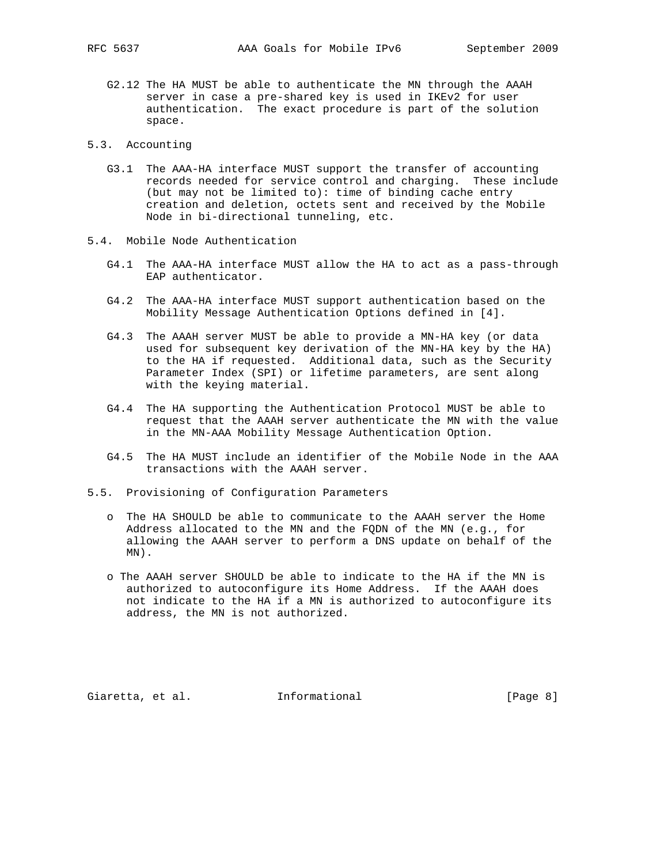- G2.12 The HA MUST be able to authenticate the MN through the AAAH server in case a pre-shared key is used in IKEv2 for user authentication. The exact procedure is part of the solution space.
- 5.3. Accounting
	- G3.1 The AAA-HA interface MUST support the transfer of accounting records needed for service control and charging. These include (but may not be limited to): time of binding cache entry creation and deletion, octets sent and received by the Mobile Node in bi-directional tunneling, etc.
- 5.4. Mobile Node Authentication
	- G4.1 The AAA-HA interface MUST allow the HA to act as a pass-through EAP authenticator.
	- G4.2 The AAA-HA interface MUST support authentication based on the Mobility Message Authentication Options defined in [4].
	- G4.3 The AAAH server MUST be able to provide a MN-HA key (or data used for subsequent key derivation of the MN-HA key by the HA) to the HA if requested. Additional data, such as the Security Parameter Index (SPI) or lifetime parameters, are sent along with the keying material.
	- G4.4 The HA supporting the Authentication Protocol MUST be able to request that the AAAH server authenticate the MN with the value in the MN-AAA Mobility Message Authentication Option.
	- G4.5 The HA MUST include an identifier of the Mobile Node in the AAA transactions with the AAAH server.
- 5.5. Provisioning of Configuration Parameters
	- o The HA SHOULD be able to communicate to the AAAH server the Home Address allocated to the MN and the FQDN of the MN (e.g., for allowing the AAAH server to perform a DNS update on behalf of the MN).
	- o The AAAH server SHOULD be able to indicate to the HA if the MN is authorized to autoconfigure its Home Address. If the AAAH does not indicate to the HA if a MN is authorized to autoconfigure its address, the MN is not authorized.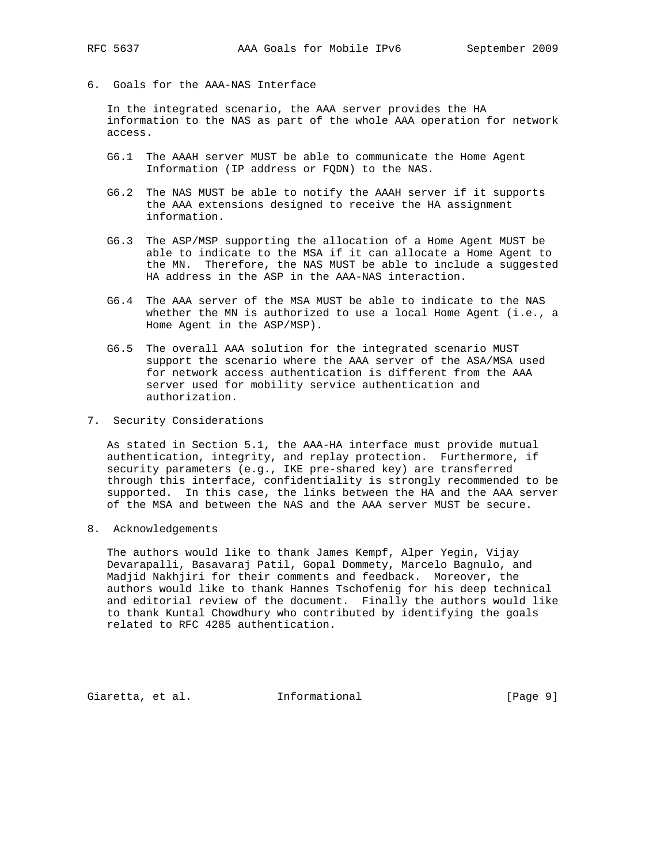- 
- 6. Goals for the AAA-NAS Interface

 In the integrated scenario, the AAA server provides the HA information to the NAS as part of the whole AAA operation for network access.

- G6.1 The AAAH server MUST be able to communicate the Home Agent Information (IP address or FQDN) to the NAS.
- G6.2 The NAS MUST be able to notify the AAAH server if it supports the AAA extensions designed to receive the HA assignment information.
- G6.3 The ASP/MSP supporting the allocation of a Home Agent MUST be able to indicate to the MSA if it can allocate a Home Agent to the MN. Therefore, the NAS MUST be able to include a suggested HA address in the ASP in the AAA-NAS interaction.
- G6.4 The AAA server of the MSA MUST be able to indicate to the NAS whether the MN is authorized to use a local Home Agent (i.e., a Home Agent in the ASP/MSP).
- G6.5 The overall AAA solution for the integrated scenario MUST support the scenario where the AAA server of the ASA/MSA used for network access authentication is different from the AAA server used for mobility service authentication and authorization.
- 7. Security Considerations

 As stated in Section 5.1, the AAA-HA interface must provide mutual authentication, integrity, and replay protection. Furthermore, if security parameters (e.g., IKE pre-shared key) are transferred through this interface, confidentiality is strongly recommended to be supported. In this case, the links between the HA and the AAA server of the MSA and between the NAS and the AAA server MUST be secure.

8. Acknowledgements

 The authors would like to thank James Kempf, Alper Yegin, Vijay Devarapalli, Basavaraj Patil, Gopal Dommety, Marcelo Bagnulo, and Madjid Nakhjiri for their comments and feedback. Moreover, the authors would like to thank Hannes Tschofenig for his deep technical and editorial review of the document. Finally the authors would like to thank Kuntal Chowdhury who contributed by identifying the goals related to RFC 4285 authentication.

Giaretta, et al. 1nformational (Page 9)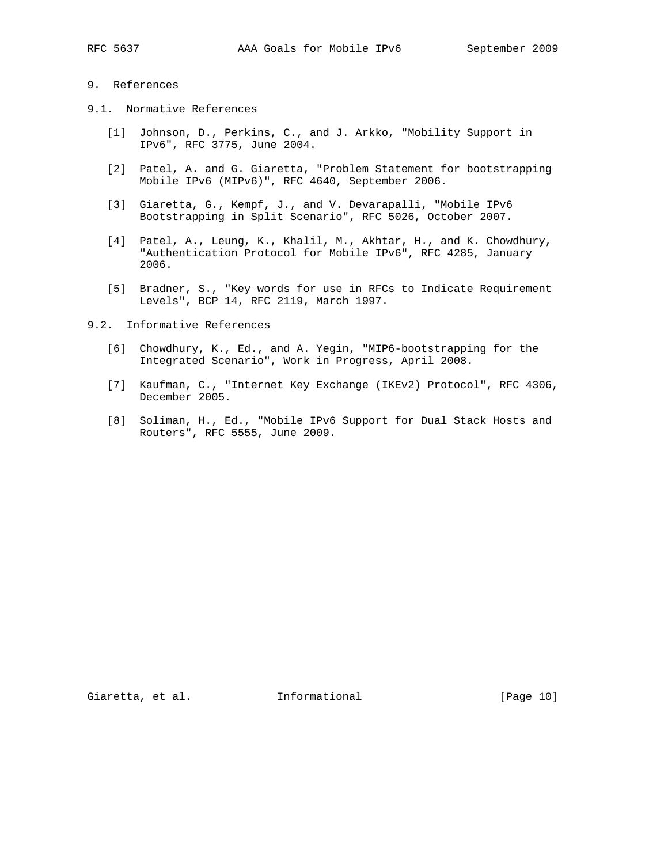# 9. References

- 9.1. Normative References
	- [1] Johnson, D., Perkins, C., and J. Arkko, "Mobility Support in IPv6", RFC 3775, June 2004.
	- [2] Patel, A. and G. Giaretta, "Problem Statement for bootstrapping Mobile IPv6 (MIPv6)", RFC 4640, September 2006.
	- [3] Giaretta, G., Kempf, J., and V. Devarapalli, "Mobile IPv6 Bootstrapping in Split Scenario", RFC 5026, October 2007.
	- [4] Patel, A., Leung, K., Khalil, M., Akhtar, H., and K. Chowdhury, "Authentication Protocol for Mobile IPv6", RFC 4285, January 2006.
	- [5] Bradner, S., "Key words for use in RFCs to Indicate Requirement Levels", BCP 14, RFC 2119, March 1997.
- 9.2. Informative References
	- [6] Chowdhury, K., Ed., and A. Yegin, "MIP6-bootstrapping for the Integrated Scenario", Work in Progress, April 2008.
	- [7] Kaufman, C., "Internet Key Exchange (IKEv2) Protocol", RFC 4306, December 2005.
	- [8] Soliman, H., Ed., "Mobile IPv6 Support for Dual Stack Hosts and Routers", RFC 5555, June 2009.

Giaretta, et al. 1nformational (Page 10)